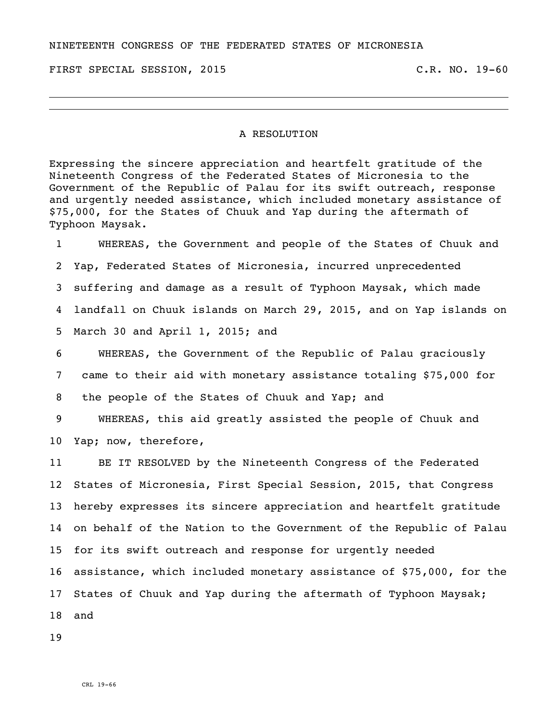NINETEENTH CONGRESS OF THE FEDERATED STATES OF MICRONESIA

FIRST SPECIAL SESSION, 2015 C.R. NO. 19-60

## A RESOLUTION

Expressing the sincere appreciation and heartfelt gratitude of the Nineteenth Congress of the Federated States of Micronesia to the Government of the Republic of Palau for its swift outreach, response and urgently needed assistance, which included monetary assistance of \$75,000, for the States of Chuuk and Yap during the aftermath of Typhoon Maysak.

 WHEREAS, the Government and people of the States of Chuuk and Yap, Federated States of Micronesia, incurred unprecedented suffering and damage as a result of Typhoon Maysak, which made landfall on Chuuk islands on March 29, 2015, and on Yap islands on March 30 and April 1, 2015; and

 WHEREAS, the Government of the Republic of Palau graciously came to their aid with monetary assistance totaling \$75,000 for the people of the States of Chuuk and Yap; and

 WHEREAS, this aid greatly assisted the people of Chuuk and Yap; now, therefore,

 BE IT RESOLVED by the Nineteenth Congress of the Federated States of Micronesia, First Special Session, 2015, that Congress hereby expresses its sincere appreciation and heartfelt gratitude on behalf of the Nation to the Government of the Republic of Palau for its swift outreach and response for urgently needed assistance, which included monetary assistance of \$75,000, for the States of Chuuk and Yap during the aftermath of Typhoon Maysak; and